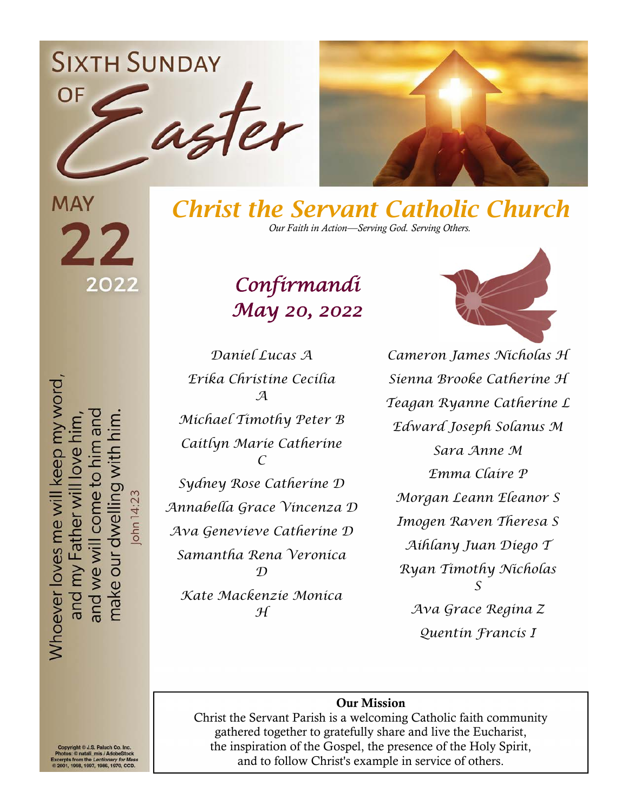**SIXTH SUNDAY** 





**MAY** 22 2022

*Christ the Servant Catholic Church Our Faith in Action—Serving God. Serving Others.*

## *Confirmandi May 20, 2022*

Whoever loves me will keep my word, make our dwelling wi and we will come to I Father wi John 14:23 and my

*Daniel Lucas A Erika Christine Cecilia A Michael Timothy Peter B Caitlyn Marie Catherine C Sydney Rose Catherine D Annabella Grace Vincenza D Ava Genevieve Catherine D Samantha Rena Veronica D Kate Mackenzie Monica H* 

*Cameron James Nicholas H Sienna Brooke Catherine H Teagan Ryanne Catherine L Edward Joseph Solanus M Sara Anne M Emma Claire P Morgan Leann Eleanor S Imogen Raven Theresa S Aihlany Juan Diego T Ryan Timothy Nicholas S Ava Grace Regina Z Quentin Francis I* 

#### Our Mission

Christ the Servant Parish is a welcoming Catholic faith community gathered together to gratefully share and live the Eucharist, the inspiration of the Gospel, the presence of the Holy Spirit, and to follow Christ's example in service of others.

International Philosopher Co. The State of the Adobe<br>Trom the *Lectionary for Me*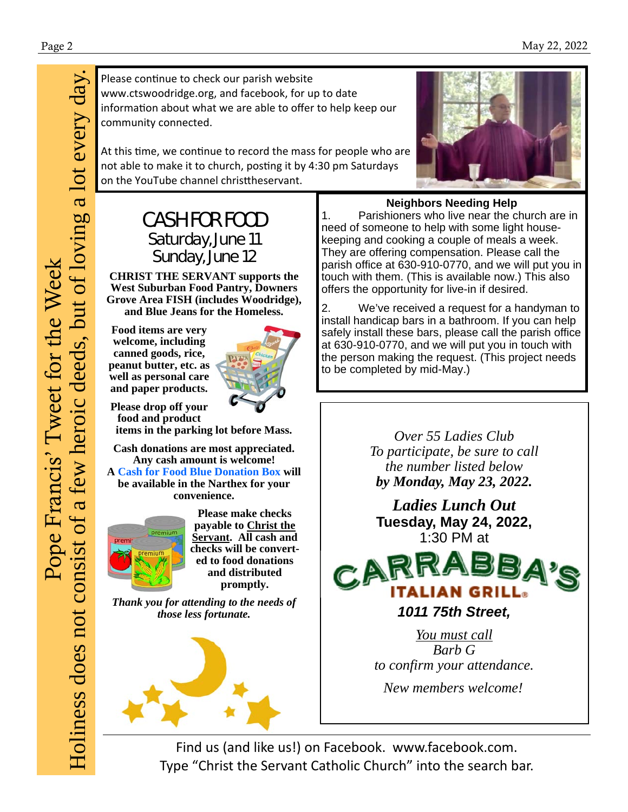Please continue to check our parish website www.ctswoodridge.org, and facebook, for up to date information about what we are able to offer to help keep our community connected.

At this time, we continue to record the mass for people who are not able to make it to church, posting it by 4:30 pm Saturdays on the YouTube channel christtheservant.



### CASH FOR FOOD Saturday, June 11 Sunday, June 12

**CHRIST THE SERVANT supports the West Suburban Food Pantry, Downers Grove Area FISH (includes Woodridge), and Blue Jeans for the Homeless.** 

**Food items are very welcome, including canned goods, rice, peanut butter, etc. as well as personal care and paper products.** 



**Please drop off your food and product** 

**items in the parking lot before Mass. Cash donations are most appreciated.** 

**Any cash amount is welcome!** 

**A Cash for Food Blue Donation Box will be available in the Narthex for your convenience.** 



**Please make checks payable to Christ the Servant. All cash and checks will be converted to food donations and distributed promptly.** 

*Thank you for attending to the needs of those less fortunate.*



**Neighbors Needing Help** 

1. Parishioners who live near the church are in need of someone to help with some light housekeeping and cooking a couple of meals a week. They are offering compensation. Please call the parish office at 630-910-0770, and we will put you in touch with them. (This is available now.) This also offers the opportunity for live-in if desired.

2. We've received a request for a handyman to install handicap bars in a bathroom. If you can help safely install these bars, please call the parish office at 630-910-0770, and we will put you in touch with the person making the request. (This project needs to be completed by mid-May.)

> *Over 55 Ladies Club To participate, be sure to call the number listed below by Monday, May 23, 2022.*

*Ladies Lunch Out*  **Tuesday, May 24, 2022,**  1:30 PM at



*1011 75th Street,* 

*You must call Barb G to confirm your attendance.* 

*New members welcome!*

Find us (and like us!) on Facebook. www.facebook.com. Type "Christ the Servant Catholic Church" into the search bar.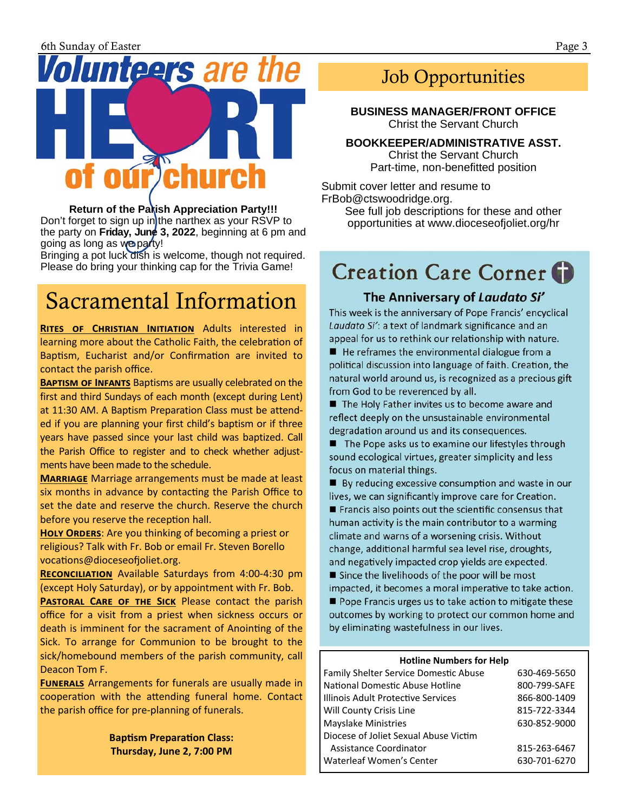

**Return of the Parish Appreciation Party!!!** Don't forget to sign up in the narthex as your RSVP to the party on **Friday, June 3, 2022**, beginning at 6 pm and going as long as we party!

Bringing a pot luck dish is welcome, though not required. Please do bring your thinking cap for the Trivia Game!

### Sacramental Information

**RITES OF CHRISTIAN INITIATION** Adults interested in learning more about the Catholic Faith, the celebration of Baptism, Eucharist and/or Confirmation are invited to contact the parish office.

**BAPTISM OF INFANTS** Baptisms are usually celebrated on the first and third Sundays of each month (except during Lent) at 11:30 AM. A Baptism Preparation Class must be attend‐ ed if you are planning your first child's baptism or if three years have passed since your last child was baptized. Call the Parish Office to register and to check whether adjustments have been made to the schedule.

**MARRIAGE** Marriage arrangements must be made at least six months in advance by contacting the Parish Office to set the date and reserve the church. Reserve the church before you reserve the reception hall.

**HOLY ORDERS:** Are you thinking of becoming a priest or religious? Talk with Fr. Bob or email Fr. Steven Borello vocations@dioceseofioliet.org.

**RECONCILIATION** Available Saturdays from 4:00-4:30 pm (except Holy Saturday), or by appointment with Fr. Bob.

**PASTORAL CARE OF THE SICK** Please contact the parish office for a visit from a priest when sickness occurs or death is imminent for the sacrament of Anointing of the Sick. To arrange for Communion to be brought to the sick/homebound members of the parish community, call Deacon Tom F.

**FUNERALS** Arrangements for funerals are usually made in cooperation with the attending funeral home. Contact the parish office for pre‐planning of funerals.

> **Baptism Preparation Class: Thursday, June 2, 7:00 PM**

### Job Opportunities

**BUSINESS MANAGER/FRONT OFFICE**  Christ the Servant Church

**BOOKKEEPER/ADMINISTRATIVE ASST.**  Christ the Servant Church

Part-time, non-benefitted position

Submit cover letter and resume to FrBob@ctswoodridge.org.

See full job descriptions for these and other opportunities at www.dioceseofjoliet.org/hr

### **Creation Care Corner**

#### The Anniversary of Laudato Si'

This week is the anniversary of Pope Francis' encyclical Laudato Si': a text of landmark significance and an appeal for us to rethink our relationship with nature.

- $\blacksquare$  He reframes the environmental dialogue from a political discussion into language of faith. Creation, the natural world around us, is recognized as a precious gift from God to be reverenced by all.
- The Holy Father invites us to become aware and reflect deeply on the unsustainable environmental degradation around us and its consequences.

■ The Pope asks us to examine our lifestyles through sound ecological virtues, greater simplicity and less focus on material things.

■ By reducing excessive consumption and waste in our lives, we can significantly improve care for Creation.

- **Figure 1** Francis also points out the scientific consensus that human activity is the main contributor to a warming climate and warns of a worsening crisis. Without change, additional harmful sea level rise, droughts, and negatively impacted crop yields are expected.
- Since the livelihoods of the poor will be most impacted, it becomes a moral imperative to take action.

Pope Francis urges us to take action to mitigate these outcomes by working to protect our common home and by eliminating wastefulness in our lives.

#### **Hotline Numbers for Help**

| <b>Family Shelter Service Domestic Abuse</b> | 630-469-5650 |
|----------------------------------------------|--------------|
| National Domestic Abuse Hotline              | 800-799-SAFE |
| Illinois Adult Protective Services           | 866-800-1409 |
| Will County Crisis Line                      | 815-722-3344 |
| <b>Mayslake Ministries</b>                   | 630-852-9000 |
| Diocese of Joliet Sexual Abuse Victim        |              |
| Assistance Coordinator                       | 815-263-6467 |
| Waterleaf Women's Center                     | 630-701-6270 |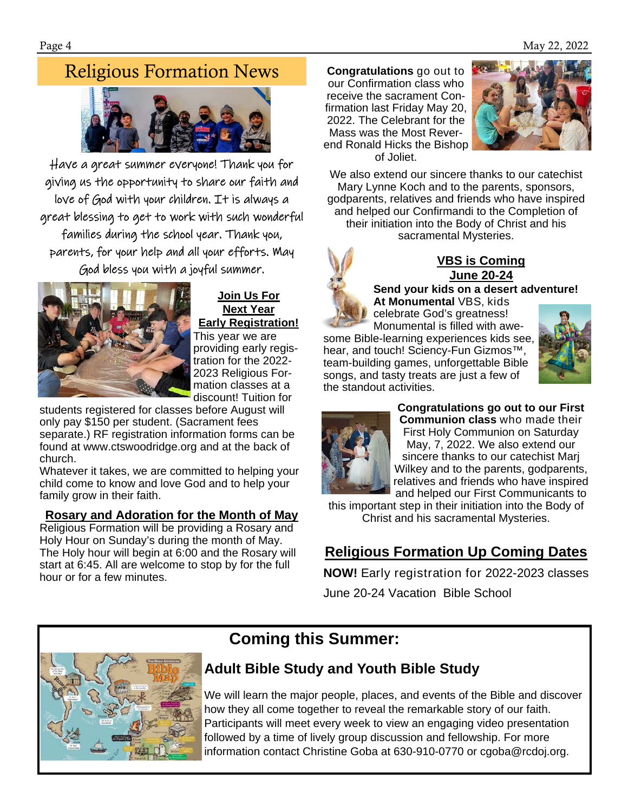### Religious Formation News



Have a great summer everyone! Thank you for giving us the opportunity to share our faith and love of God with your children. It is always a great blessing to get to work with such wonderful families during the school year. Thank you, parents, for your help and all your efforts. May God bless you with a joyful summer.



#### **Join Us For Next Year Early Registration!**

This year we are providing early registration for the 2022- 2023 Religious Formation classes at a discount! Tuition for

students registered for classes before August will only pay \$150 per student. (Sacrament fees separate.) RF registration information forms can be found at www.ctswoodridge.org and at the back of church.

Whatever it takes, we are committed to helping your child come to know and love God and to help your family grow in their faith.

#### **Rosary and Adoration for the Month of May**

Religious Formation will be providing a Rosary and Holy Hour on Sunday's during the month of May. The Holy hour will begin at 6:00 and the Rosary will start at 6:45. All are welcome to stop by for the full hour or for a few minutes.

**Congratulations** go out to our Confirmation class who receive the sacrament Confirmation last Friday May 20, 2022. The Celebrant for the Mass was the Most Reverend Ronald Hicks the Bishop of Joliet.



We also extend our sincere thanks to our catechist Mary Lynne Koch and to the parents, sponsors, godparents, relatives and friends who have inspired and helped our Confirmandi to the Completion of their initiation into the Body of Christ and his sacramental Mysteries.



#### **VBS is Coming June 20-24**

**Send your kids on a desert adventure! At Monumental** VBS, kids

celebrate God's greatness! Monumental is filled with awesome Bible-learning experiences kids see, hear, and touch! Sciency-Fun Gizmos™, team-building games, unforgettable Bible songs, and tasty treats are just a few of the standout activities.





**Congratulations go out to our First Communion class** who made their First Holy Communion on Saturday May, 7, 2022. We also extend our sincere thanks to our catechist Marj Wilkey and to the parents, godparents, relatives and friends who have inspired and helped our First Communicants to

this important step in their initiation into the Body of Christ and his sacramental Mysteries.

### **Religious Formation Up Coming Dates**

**NOW!** Early registration for 2022-2023 classes June 20-24 Vacation Bible School



### **Coming this Summer:**

### **Adult Bible Study and Youth Bible Study**

We will learn the major people, places, and events of the Bible and discover how they all come together to reveal the remarkable story of our faith. Participants will meet every week to view an engaging video presentation followed by a time of lively group discussion and fellowship. For more information contact Christine Goba at 630-910-0770 or cgoba@rcdoj.org.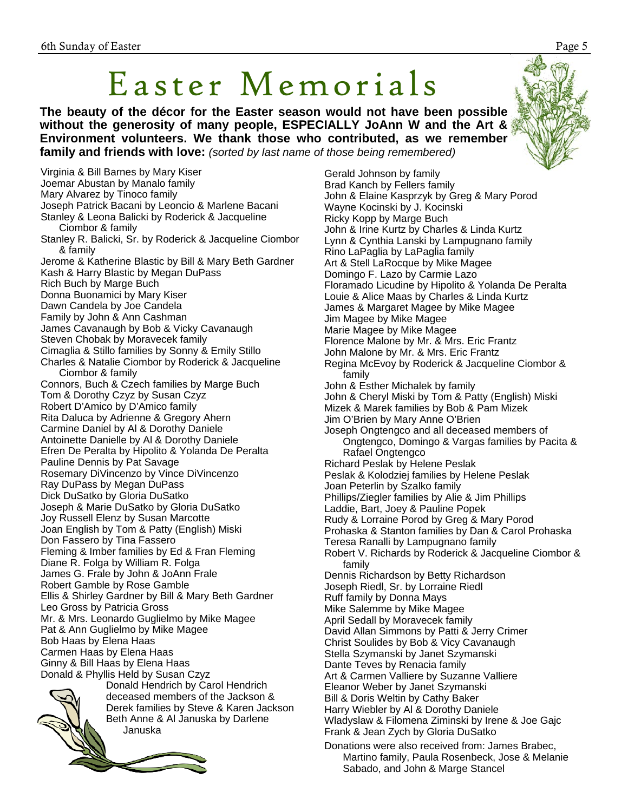## Easter Memorials

**The beauty of the décor for the Easter season would not have been possible without the generosity of many people, ESPECIALLY JoAnn W and the Art & Environment volunteers. We thank those who contributed, as we remember family and friends with love:** *(sorted by last name of those being remembered)*

Virginia & Bill Barnes by Mary Kiser Joemar Abustan by Manalo family Mary Alvarez by Tinoco family Joseph Patrick Bacani by Leoncio & Marlene Bacani Stanley & Leona Balicki by Roderick & Jacqueline Ciombor & family Stanley R. Balicki, Sr. by Roderick & Jacqueline Ciombor & family Jerome & Katherine Blastic by Bill & Mary Beth Gardner Kash & Harry Blastic by Megan DuPass Rich Buch by Marge Buch Donna Buonamici by Mary Kiser Dawn Candela by Joe Candela Family by John & Ann Cashman James Cavanaugh by Bob & Vicky Cavanaugh Steven Chobak by Moravecek family Cimaglia & Stillo families by Sonny & Emily Stillo Charles & Natalie Ciombor by Roderick & Jacqueline Ciombor & family Connors, Buch & Czech families by Marge Buch Tom & Dorothy Czyz by Susan Czyz Robert D'Amico by D'Amico family Rita Daluca by Adrienne & Gregory Ahern Carmine Daniel by Al & Dorothy Daniele Antoinette Danielle by Al & Dorothy Daniele Efren De Peralta by Hipolito & Yolanda De Peralta Pauline Dennis by Pat Savage Rosemary DiVincenzo by Vince DiVincenzo Ray DuPass by Megan DuPass Dick DuSatko by Gloria DuSatko Joseph & Marie DuSatko by Gloria DuSatko Joy Russell Elenz by Susan Marcotte Joan English by Tom & Patty (English) Miski Don Fassero by Tina Fassero Fleming & Imber families by Ed & Fran Fleming Diane R. Folga by William R. Folga James G. Frale by John & JoAnn Frale Robert Gamble by Rose Gamble Ellis & Shirley Gardner by Bill & Mary Beth Gardner Leo Gross by Patricia Gross Mr. & Mrs. Leonardo Guglielmo by Mike Magee Pat & Ann Guglielmo by Mike Magee Bob Haas by Elena Haas Carmen Haas by Elena Haas Ginny & Bill Haas by Elena Haas Donald & Phyllis Held by Susan Czyz Donald Hendrich by Carol Hendrich



deceased members of the Jackson & Derek families by Steve & Karen Jackson Beth Anne & Al Januska by Darlene Januska

Gerald Johnson by family Brad Kanch by Fellers family John & Elaine Kasprzyk by Greg & Mary Porod Wayne Kocinski by J. Kocinski Ricky Kopp by Marge Buch John & Irine Kurtz by Charles & Linda Kurtz Lynn & Cynthia Lanski by Lampugnano family Rino LaPaglia by LaPaglia family Art & Stell LaRocque by Mike Magee Domingo F. Lazo by Carmie Lazo Floramado Licudine by Hipolito & Yolanda De Peralta Louie & Alice Maas by Charles & Linda Kurtz James & Margaret Magee by Mike Magee Jim Magee by Mike Magee Marie Magee by Mike Magee Florence Malone by Mr. & Mrs. Eric Frantz John Malone by Mr. & Mrs. Eric Frantz Regina McEvoy by Roderick & Jacqueline Ciombor & family John & Esther Michalek by family John & Cheryl Miski by Tom & Patty (English) Miski Mizek & Marek families by Bob & Pam Mizek Jim O'Brien by Mary Anne O'Brien Joseph Ongtengco and all deceased members of Ongtengco, Domingo & Vargas families by Pacita & Rafael Ongtengco Richard Peslak by Helene Peslak Peslak & Kolodziej families by Helene Peslak Joan Peterlin by Szalko family Phillips/Ziegler families by Alie & Jim Phillips Laddie, Bart, Joey & Pauline Popek Rudy & Lorraine Porod by Greg & Mary Porod Prohaska & Stanton families by Dan & Carol Prohaska Teresa Ranalli by Lampugnano family Robert V. Richards by Roderick & Jacqueline Ciombor & family Dennis Richardson by Betty Richardson Joseph Riedl, Sr. by Lorraine Riedl Ruff family by Donna Mays Mike Salemme by Mike Magee April Sedall by Moravecek family David Allan Simmons by Patti & Jerry Crimer Christ Soulides by Bob & Vicy Cavanaugh Stella Szymanski by Janet Szymanski Dante Teves by Renacia family

Art & Carmen Valliere by Suzanne Valliere

- Eleanor Weber by Janet Szymanski
- Bill & Doris Weltin by Cathy Baker
- Harry Wiebler by Al & Dorothy Daniele
- Wladyslaw & Filomena Ziminski by Irene & Joe Gajc Frank & Jean Zych by Gloria DuSatko
- Donations were also received from: James Brabec, Martino family, Paula Rosenbeck, Jose & Melanie Sabado, and John & Marge Stancel

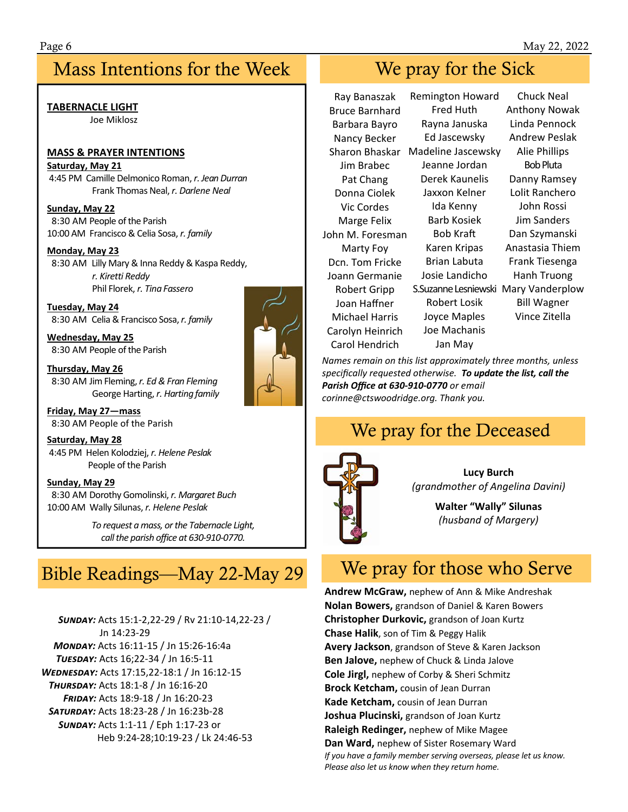### Mass Intentions for the Week Week We pray for the Sick

### **TABERNACLE LIGHT**

Joe Miklosz

#### **MASS & PRAYER INTENTIONS**

#### **Saturday, May 21**

 4:45 PM Camille Delmonico Roman, *r. Jean Durran* Frank Thomas Neal, *r. Darlene Neal* 

#### **Sunday, May 22**  8:30 AM People of the Parish 10:00 AM Francisco & Celia Sosa, *r. family*

#### **Monday, May 23**

 8:30 AM Lilly Mary & Inna Reddy & Kaspa Reddy, *r. Kiretti Reddy* Phil Florek, *r. Tina Fassero* 

**Tuesday, May 24**  8:30 AM Celia & Francisco Sosa, *r. family*

**Wednesday, May 25**  8:30 AM People of the Parish

**Thursday, May 26**  8:30 AM Jim Fleming, *r. Ed & Fran Fleming* George Harting, *r. Harting family* 

**Friday, May 27—mass**  8:30 AM People of the Parish

**Saturday, May 28**  4:45 PM Helen Kolodziej, *r. Helene Peslak*  People of the Parish

**Sunday, May 29**  8:30 AM Dorothy Gomolinski, *r. Margaret Buch*  10:00 AM Wally Silunas, *r. Helene Peslak* 

> *To request a mass, or the Tabernacle Light, call the parish office at 630‐910‐0770.*

### Bible Readings—May 22-May 29

 *SçÄù:* Acts 15:1‐2,22‐29 / Rv 21:10‐14,22‐23 / Jn 14:23‐29 *MONDAY*: Acts 16:11-15 / Jn 15:26-16:4a **TUESDAY: Acts 16;22-34 / Jn 16:5-11** *WEDNESDAY: Acts 17:15,22-18:1 / Jn 16:12-15* **THURSDAY: Acts 18:1-8 / Jn 16:16-20**  *FÙ®ù:* Acts 18:9‐18 / Jn 16:20‐23  *SãçÙù:* Acts 18:23‐28 / Jn 16:23b‐28 *SçÄù:* Acts 1:1‐11 / Eph 1:17‐23 or Heb 9:24‐28;10:19‐23 / Lk 24:46‐53



Ray Banaszak Bruce Barnhard Barbara Bayro Nancy Becker Sharon Bhaskar Madeline Jascewsky Jim Brabec Pat Chang Donna Ciolek Vic Cordes Marge Felix John M. Foresman Marty Foy Dcn. Tom Fricke Joann Germanie Robert Gripp Joan Haffner Michael Harris Carolyn Heinrich Carol Hendrich

Remington Howard Fred Huth Rayna Januska Ed Jascewsky Jeanne Jordan Derek Kaunelis Jaxxon Kelner Ida Kenny Barb Kosiek Bob Kraft Karen Kripas Brian Labuta Josie Landicho S.Suzanne Lesniewski Mary Vanderplow Robert Losik Joyce Maples Joe Machanis Jan May

Chuck Neal Anthony Nowak Linda Pennock Andrew Peslak Alie Phillips Bob Pluta Danny Ramsey Lolit Ranchero John Rossi Jim Sanders Dan Szymanski Anastasia Thiem Frank Tiesenga Hanh Truong Bill Wagner Vince Zitella

*Names remain on this list approximately three months, unless specifically requested otherwise. To update the list, call the Parish Office at 630‐910‐0770 or email corinne@ctswoodridge.org. Thank you.*

### We pray for the Deceased



**Lucy Burch**  *(grandmother of Angelina Davini)* 

> **Walter "Wally" Silunas**  *(husband of Margery)*

### We pray for those who Serve

**Andrew McGraw,** nephew of Ann & Mike Andreshak **Nolan Bowers,** grandson of Daniel & Karen Bowers **Christopher Durkovic,** grandson of Joan Kurtz **Chase Halik**, son of Tim & Peggy Halik **Avery Jackson**, grandson of Steve & Karen Jackson **Ben Jalove,** nephew of Chuck & Linda Jalove **Cole Jirgl,** nephew of Corby & Sheri Schmitz **Brock Ketcham,** cousin of Jean Durran **Kade Ketcham,** cousin of Jean Durran **Joshua Plucinski,** grandson of Joan Kurtz **Raleigh Redinger,** nephew of Mike Magee **Dan Ward,** nephew of Sister Rosemary Ward *If you have a family member serving overseas, please let us know. Please also let us know when they return home.*